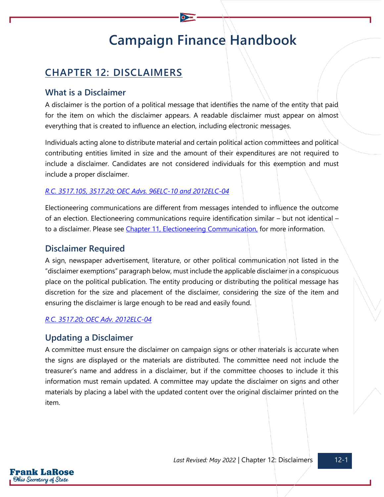# **Campaign Finance Handbook**

## **CHAPTER 12: DISCLAIMERS**

## **What is a Disclaimer**

A disclaimer is the portion of a political message that identifies the name of the entity that paid for the item on which the disclaimer appears. A readable disclaimer must appear on almost everything that is created to influence an election, including electronic messages.

Individuals acting alone to distribute material and certain political action committees and political contributing entities limited in size and the amount of their expenditures are not required to include a disclaimer. Candidates are not considered individuals for this exemption and must include a proper disclaimer.

#### *[R.C. 3517.105,](https://codes.ohio.gov/ohio-revised-code/section-3517.105) [3517.20;](https://codes.ohio.gov/ohio-revised-code/section-3517.20) [OEC Advs. 96ELC-10](https://elc.ohio.gov/wps/portal/gov/elc/opinions-decisions/advisory-opinions/by-year/96-10) and [2012ELC-04](https://elc.ohio.gov/wps/portal/gov/elc/opinions-decisions/advisory-opinions/by-year/2012-04)*

Electioneering communications are different from messages intended to influence the outcome of an election. Electioneering communications require identification similar – but not identical – to a disclaimer. Please see [Chapter 11, Electioneering Communication,](https://www.ohiosos.gov/globalassets/candidates/cfguide/chapters/chapter11.pdf) for more information.

#### **Disclaimer Required**

A sign, newspaper advertisement, literature, or other political communication not listed in the "disclaimer exemptions" paragraph below, must include the applicable disclaimer in a conspicuous place on the political publication. The entity producing or distributing the political message has discretion for the size and placement of the disclaimer, considering the size of the item and ensuring the disclaimer is large enough to be read and easily found.

#### *[R.C. 3517.20;](https://codes.ohio.gov/ohio-revised-code/section-3517.20) [OEC Adv. 2012ELC-04](https://elc.ohio.gov/wps/portal/gov/elc/opinions-decisions/advisory-opinions/by-year/2012-04)*

### **Updating a Disclaimer**

A committee must ensure the disclaimer on campaign signs or other materials is accurate when the signs are displayed or the materials are distributed. The committee need not include the treasurer's name and address in a disclaimer, but if the committee chooses to include it this information must remain updated. A committee may update the disclaimer on signs and other materials by placing a label with the updated content over the original disclaimer printed on the item.

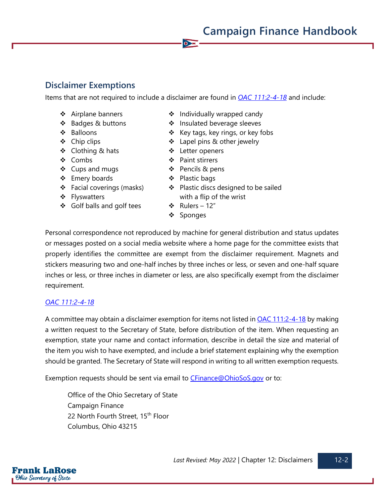**Campaign Finance Handbook**

## **Disclaimer Exemptions**

Items that are not required to include a disclaimer are found in *[OAC 111:2-4-18](https://codes.ohio.gov/ohio-administrative-code/rule-111:2-4-18)* and include:

 $\bullet$ 

- ❖ Airplane banners
- ❖ Badges & buttons
- ❖ Balloons
- ❖ Chip clips
- ❖ Clothing & hats
- ❖ Combs
- ❖ Cups and mugs
- ❖ Emery boards
- ❖ Facial coverings (masks)
- ❖ Flyswatters
- ❖ Golf balls and golf tees
- ❖ Individually wrapped candy
- ❖ Insulated beverage sleeves
- ❖ Key tags, key rings, or key fobs
- ❖ Lapel pins & other jewelry
- ❖ Letter openers
- ❖ Paint stirrers
- ❖ Pencils & pens
- ❖ Plastic bags
- ❖ Plastic discs designed to be sailed with a flip of the wrist
- ❖ Rulers 12"
- ❖ Sponges

Personal correspondence not reproduced by machine for general distribution and status updates or messages posted on a social media website where a home page for the committee exists that properly identifies the committee are exempt from the disclaimer requirement. Magnets and stickers measuring two and one-half inches by three inches or less, or seven and one-half square inches or less, or three inches in diameter or less, are also specifically exempt from the disclaimer requirement.

### *[OAC 111:2-4-18](https://codes.ohio.gov/ohio-administrative-code/rule-111:2-4-18)*

A committee may obtain a disclaimer exemption for items not listed in **OAC 111:2-4-18** by making a written request to the Secretary of State, before distribution of the item. When requesting an exemption, state your name and contact information, describe in detail the size and material of the item you wish to have exempted, and include a brief statement explaining why the exemption should be granted. The Secretary of State will respond in writing to all written exemption requests.

Exemption requests should be sent via email to **CFinance@OhioSoS.gov** or to:

Office of the Ohio Secretary of State Campaign Finance 22 North Fourth Street, 15<sup>th</sup> Floor Columbus, Ohio 43215

Frank LaRose Ohio Secretary of State

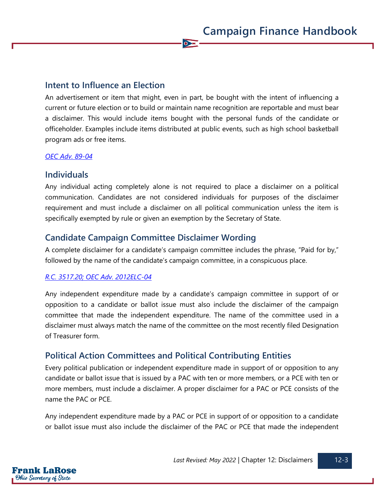## **Intent to Influence an Election**

An advertisement or item that might, even in part, be bought with the intent of influencing a current or future election or to build or maintain name recognition are reportable and must bear a disclaimer. This would include items bought with the personal funds of the candidate or officeholder. Examples include items distributed at public events, such as high school basketball program ads or free items.

 $\bullet$ 

#### *[OEC Adv. 89-04](https://elc.ohio.gov/wps/portal/gov/elc/opinions-decisions/advisory-opinions/by-year/89-4)*

#### **Individuals**

Any individual acting completely alone is not required to place a disclaimer on a political communication. Candidates are not considered individuals for purposes of the disclaimer requirement and must include a disclaimer on all political communication unless the item is specifically exempted by rule or given an exemption by the Secretary of State.

## **Candidate Campaign Committee Disclaimer Wording**

A complete disclaimer for a candidate's campaign committee includes the phrase, "Paid for by," followed by the name of the candidate's campaign committee, in a conspicuous place.

#### *[R.C. 3517.20;](https://codes.ohio.gov/ohio-revised-code/section-3517.20) [OEC Adv. 2012ELC-04](https://elc.ohio.gov/wps/portal/gov/elc/opinions-decisions/advisory-opinions/by-year/2012-04)*

Any independent expenditure made by a candidate's campaign committee in support of or opposition to a candidate or ballot issue must also include the disclaimer of the campaign committee that made the independent expenditure. The name of the committee used in a disclaimer must always match the name of the committee on the most recently filed Designation of Treasurer form.

## **Political Action Committees and Political Contributing Entities**

Every political publication or independent expenditure made in support of or opposition to any candidate or ballot issue that is issued by a PAC with ten or more members, or a PCE with ten or more members, must include a disclaimer. A proper disclaimer for a PAC or PCE consists of the name the PAC or PCE.

Any independent expenditure made by a PAC or PCE in support of or opposition to a candidate or ballot issue must also include the disclaimer of the PAC or PCE that made the independent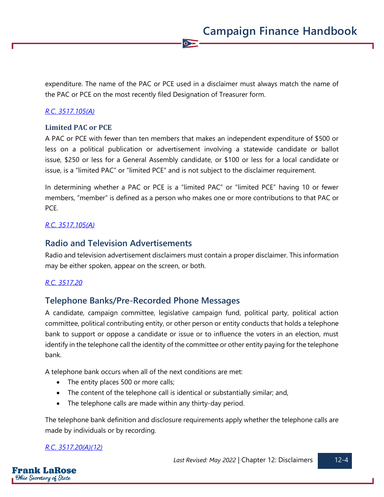expenditure. The name of the PAC or PCE used in a disclaimer must always match the name of the PAC or PCE on the most recently filed Designation of Treasurer form.

 $\bullet$ 

#### *[R.C. 3517.105\(A\)](https://codes.ohio.gov/ohio-revised-code/section-3517.105)*

#### **Limited PAC or PCE**

A PAC or PCE with fewer than ten members that makes an independent expenditure of \$500 or less on a political publication or advertisement involving a statewide candidate or ballot issue, \$250 or less for a General Assembly candidate, or \$100 or less for a local candidate or issue, is a "limited PAC" or "limited PCE" and is not subject to the disclaimer requirement.

In determining whether a PAC or PCE is a "limited PAC" or "limited PCE" having 10 or fewer members, "member" is defined as a person who makes one or more contributions to that PAC or PCE.

#### *[R.C. 3517.105\(A\)](https://codes.ohio.gov/ohio-revised-code/section-3517.105)*

### **Radio and Television Advertisements**

Radio and television advertisement disclaimers must contain a proper disclaimer. This information may be either spoken, appear on the screen, or both.

#### *[R.C. 3517.20](https://codes.ohio.gov/ohio-revised-code/section-3517.20)*

### **Telephone Banks/Pre-Recorded Phone Messages**

A candidate, campaign committee, legislative campaign fund, political party, political action committee, political contributing entity, or other person or entity conducts that holds a telephone bank to support or oppose a candidate or issue or to influence the voters in an election, must identify in the telephone call the identity of the committee or other entity paying for the telephone bank.

A telephone bank occurs when all of the next conditions are met:

- The entity places 500 or more calls;
- The content of the telephone call is identical or substantially similar; and,
- The telephone calls are made within any thirty-day period.

The telephone bank definition and disclosure requirements apply whether the telephone calls are made by individuals or by recording.

#### *[R.C. 3517.20\(A\)\(12\)](https://codes.ohio.gov/ohio-revised-code/section-3517.20)*

Frank LaRose Ohio Secretary of State

Last Revised: May 2022 | Chapter 12: Disclaimers | 12-4